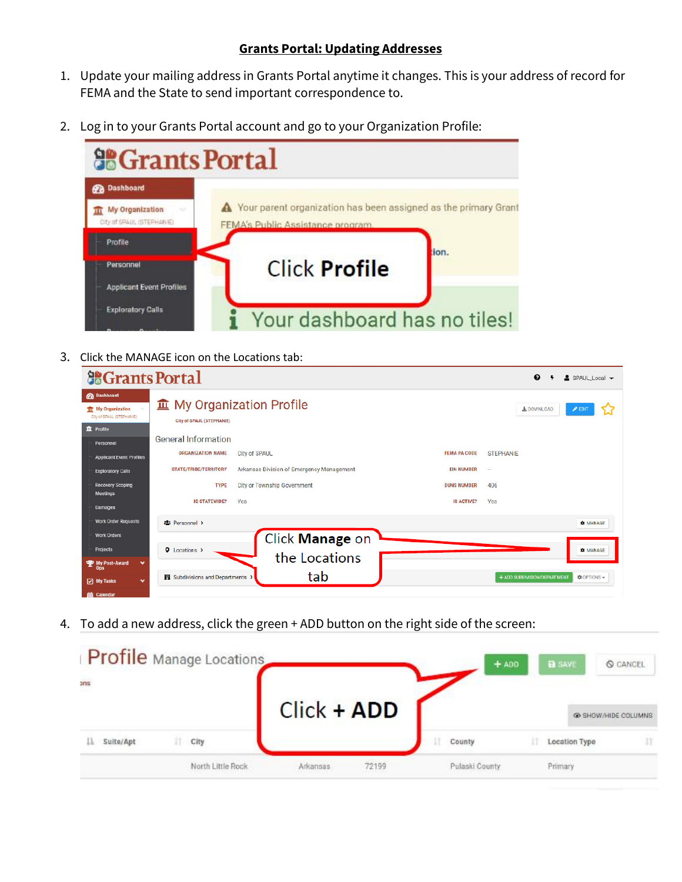## **Grants Portal: Updating Addresses**

- 1. Update your mailing address in Grants Portal anytime it changes. This is your address of record for FEMA and the State to send important correspondence to.
- 2. Log in to your Grants Portal account and go to your Organization Profile:



3. Click the MANAGE icon on the Locations tab:

| <b>Solution</b> Grants Portal                                                                      |                                                               |                                           |                     | ℯ<br>$\triangle$ SPAUL Local $\rightarrow$        |
|----------------------------------------------------------------------------------------------------|---------------------------------------------------------------|-------------------------------------------|---------------------|---------------------------------------------------|
| <b>OB</b> Dashboard<br><b>III</b> My Organization<br>City of SPAUL (STEPHANIE)<br><b>血</b> Profile | <b>血</b> My Organization Profile<br>City of SPAUL (STEPHANIE) |                                           |                     | & DOWNLOAD<br>$\blacktriangleright$ EDIT          |
| Personnel                                                                                          | <b>General Information</b>                                    |                                           |                     |                                                   |
| <b>Applicant Event Profiles</b>                                                                    | <b>ORGANIZATION NAME</b>                                      | City of SPAUL                             | <b>FEMA PA CODE</b> | <b>STEPHANIE</b>                                  |
| <b>Exploratory Calls</b>                                                                           | <b>STATE/TRIBE/TERRITORY</b>                                  | Arkansas Division of Emergency Management | <b>EIN NUMBER</b>   | $\sim$                                            |
| <b>Recovery Scoping</b><br><b>Meetings</b>                                                         | <b>TYPE</b>                                                   | City or Township Government               | <b>DUNS NUMBER</b>  | 406                                               |
| <b>Damages</b>                                                                                     | <b>IS STATEWIDE?</b><br>Yes                                   |                                           | <b>IS ACTIVE?</b>   | Yes                                               |
| <b>Work Order Requests</b>                                                                         | <b>121 Personnel &gt;</b>                                     |                                           |                     | <b>C</b> MANAGE                                   |
| <b>Work Orders</b>                                                                                 |                                                               | Click Manage on                           |                     |                                                   |
| Projects                                                                                           | <b>Q</b> Locations >                                          |                                           |                     | <b>C</b> MANAGE                                   |
| My Post-Award<br>$\checkmark$<br>Ops                                                               |                                                               | the Locations                             |                     |                                                   |
| My Tasks<br>$\checkmark$                                                                           | Subdivisions and Departments                                  | tab                                       |                     | + ADD SUBDIVISION/DEPARTMENT<br><b>COPTIONS</b> - |
| <b>盖 Calendar</b>                                                                                  |                                                               |                                           |                     |                                                   |

4. To add a new address, click the green + ADD button on the right side of the screen:

|                 |   | <b>Profile</b> Manage Locations |                    |       | $+$ ADD        |  | <b>B</b> SAVE | C CANCEL            |
|-----------------|---|---------------------------------|--------------------|-------|----------------|--|---------------|---------------------|
| and             |   |                                 | <b>Click + ADD</b> |       |                |  |               | C SHOW/HIDE COLUMNS |
| Suite/Apt<br>13 | π | City                            |                    |       | County         |  | Location Type | 11                  |
|                 |   | North Little Rock               | Arkansas           | 72199 | Pulaski County |  | Primary       |                     |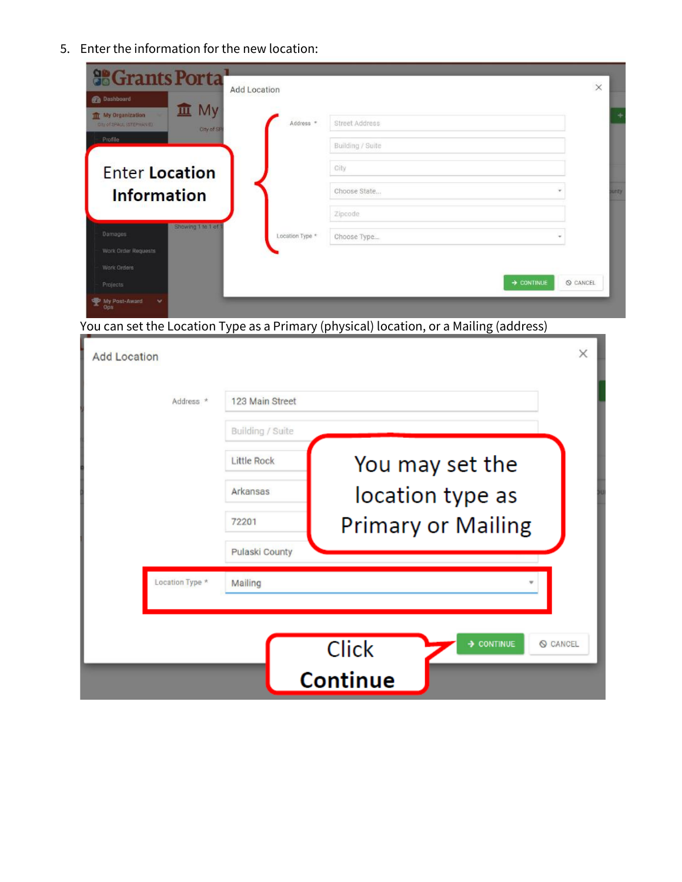5. Enter the information for the new location:

| Add Location<br><b>Pa</b> Dashboard                                                  |                 |                        | $\times$      |           |
|--------------------------------------------------------------------------------------|-----------------|------------------------|---------------|-----------|
| <b>血</b> My<br><b>TIT</b> My Drganization<br>City of SPACE 187 EP14NHL<br>City of SF | Address *       | Street Address         |               | $\ddot{}$ |
| Profile                                                                              |                 | Building / Suite       |               |           |
| <b>Enter Location</b>                                                                |                 | City                   |               |           |
| <b>Information</b>                                                                   |                 | Choose State           | $\tau$        | virue     |
|                                                                                      |                 | Zipcode                |               |           |
| Showing 1 to 1 of 1<br><b>Damages</b>                                                | Location Type * | Choose Type            | $\mathcal{A}$ |           |
| Work Order Requests                                                                  |                 |                        |               |           |
| Work Orders                                                                          |                 | $\rightarrow$ CONTINUE | Q CANCEL      |           |

You can set the Location Type as a Primary (physical) location, or a Mailing (address)

| <b>Add Location</b> |                    | X                                             |  |
|---------------------|--------------------|-----------------------------------------------|--|
| Address *           | 123 Main Street    |                                               |  |
|                     | Building / Suite   |                                               |  |
|                     | <b>Little Rock</b> | You may set the                               |  |
|                     | Arkansas           | location type as                              |  |
|                     | 72201              | <b>Primary or Mailing</b>                     |  |
|                     | Pulaski County     |                                               |  |
| Location Type *     | Mailing            |                                               |  |
|                     |                    |                                               |  |
|                     |                    | > CONTINUE<br><b>Click</b><br><b>Q</b> CANCEL |  |
|                     |                    | Continue                                      |  |